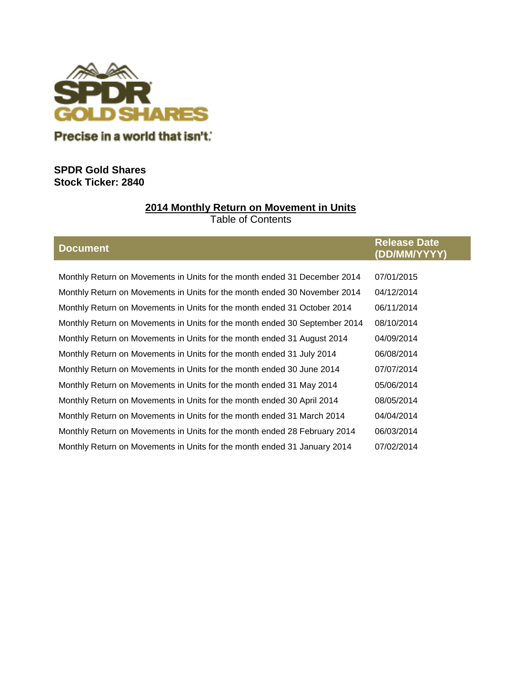

# **SPDR Gold Shares Stock Ticker: 2840**

# **2014 Monthly Return on Movement in Units**

Table of Contents

|  | <b>Document</b> |  |
|--|-----------------|--|
|  |                 |  |

|                 | <b>Release Date</b> |
|-----------------|---------------------|
| <b>Document</b> | (DD/MM/YYYY)        |

| Monthly Return on Movements in Units for the month ended 31 December 2014  | 07/01/2015 |
|----------------------------------------------------------------------------|------------|
| Monthly Return on Movements in Units for the month ended 30 November 2014  | 04/12/2014 |
| Monthly Return on Movements in Units for the month ended 31 October 2014   | 06/11/2014 |
| Monthly Return on Movements in Units for the month ended 30 September 2014 | 08/10/2014 |
| Monthly Return on Movements in Units for the month ended 31 August 2014    | 04/09/2014 |
| Monthly Return on Movements in Units for the month ended 31 July 2014      | 06/08/2014 |
| Monthly Return on Movements in Units for the month ended 30 June 2014      | 07/07/2014 |
| Monthly Return on Movements in Units for the month ended 31 May 2014       | 05/06/2014 |
| Monthly Return on Movements in Units for the month ended 30 April 2014     | 08/05/2014 |
| Monthly Return on Movements in Units for the month ended 31 March 2014     | 04/04/2014 |
| Monthly Return on Movements in Units for the month ended 28 February 2014  | 06/03/2014 |
| Monthly Return on Movements in Units for the month ended 31 January 2014   | 07/02/2014 |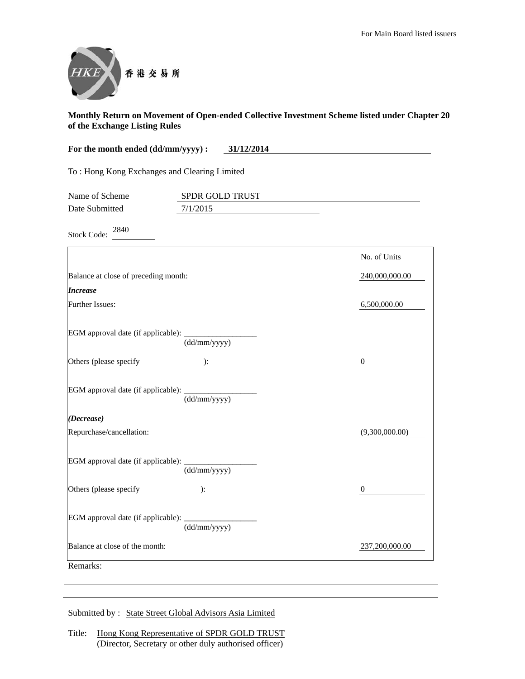

| For the month ended (dd/mm/yyyy) :<br>31/12/2014 |                 |                  |
|--------------------------------------------------|-----------------|------------------|
| To: Hong Kong Exchanges and Clearing Limited     |                 |                  |
| Name of Scheme                                   | SPDR GOLD TRUST |                  |
| Date Submitted                                   | 7/1/2015        |                  |
| 2840<br><b>Stock Code:</b>                       |                 |                  |
|                                                  |                 | No. of Units     |
| Balance at close of preceding month:             |                 | 240,000,000.00   |
| <b>Increase</b>                                  |                 |                  |
| Further Issues:                                  |                 | 6,500,000.00     |
| EGM approval date (if applicable):               | (dd/mm/yyyy)    |                  |
| Others (please specify                           | ):              | $\boldsymbol{0}$ |
| EGM approval date (if applicable):               | (dd/mm/yyyy)    |                  |
| (Decrease)                                       |                 |                  |
| Repurchase/cancellation:                         |                 | (9,300,000.00)   |
| EGM approval date (if applicable):               | (dd/mm/yyyy)    |                  |
| Others (please specify                           | ):              | $\overline{0}$   |
| EGM approval date (if applicable):               | (dd/mm/yyyy)    |                  |
| Balance at close of the month:                   |                 | 237,200,000.00   |
| Remarks:                                         |                 |                  |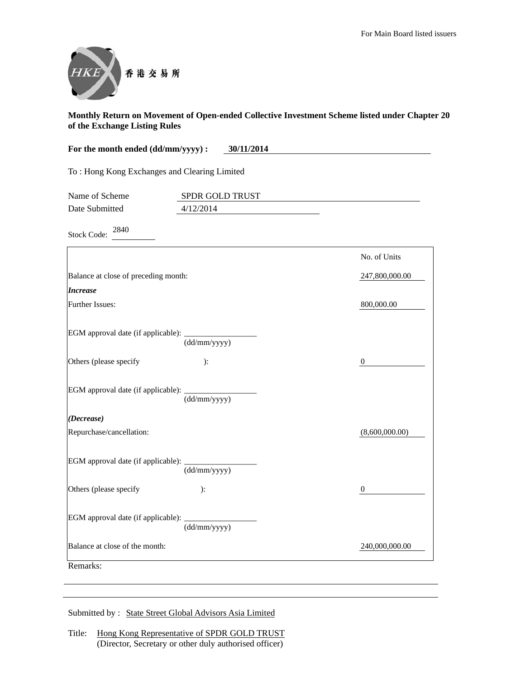

| For the month ended (dd/mm/yyyy) :<br>30/11/2014 |                 |                  |
|--------------------------------------------------|-----------------|------------------|
| To: Hong Kong Exchanges and Clearing Limited     |                 |                  |
| Name of Scheme                                   | SPDR GOLD TRUST |                  |
| Date Submitted                                   | 4/12/2014       |                  |
| 2840<br><b>Stock Code:</b>                       |                 |                  |
|                                                  |                 | No. of Units     |
| Balance at close of preceding month:             |                 | 247,800,000.00   |
| <b>Increase</b>                                  |                 |                  |
| Further Issues:                                  |                 | 800,000.00       |
| EGM approval date (if applicable):               | (dd/mm/yyyy)    |                  |
| Others (please specify                           | ):              | $\boldsymbol{0}$ |
| EGM approval date (if applicable):               | (dd/mm/yyyy)    |                  |
| (Decrease)                                       |                 |                  |
| Repurchase/cancellation:                         |                 | (8,600,000.00)   |
| EGM approval date (if applicable):               | (dd/mm/yyyy)    |                  |
| Others (please specify                           | ):              | $\boldsymbol{0}$ |
| EGM approval date (if applicable):               | (dd/mm/yyyy)    |                  |
| Balance at close of the month:                   |                 | 240,000,000.00   |
| Remarks:                                         |                 |                  |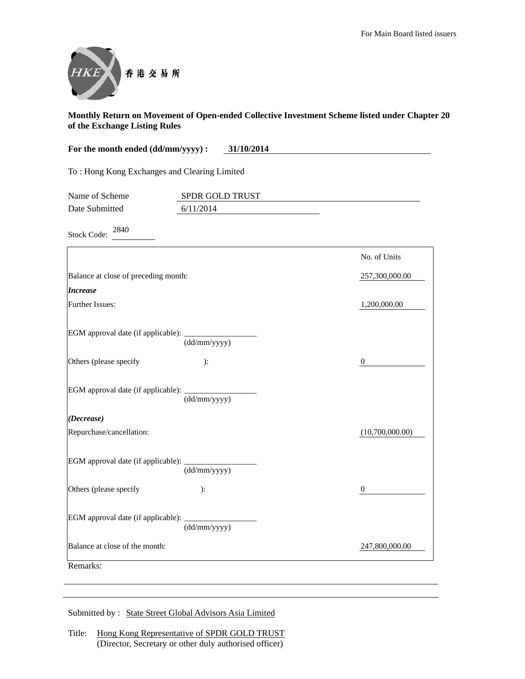

| For the month ended (dd/mm/yyyy) :<br>31/10/2014 |                              |                  |
|--------------------------------------------------|------------------------------|------------------|
| To: Hong Kong Exchanges and Clearing Limited     |                              |                  |
| Name of Scheme<br>Date Submitted                 | SPDR GOLD TRUST<br>6/11/2014 |                  |
| 2840<br><b>Stock Code:</b>                       |                              |                  |
|                                                  |                              | No. of Units     |
| Balance at close of preceding month:             |                              | 257,300,000.00   |
| <i><b>Increase</b></i>                           |                              |                  |
| Further Issues:                                  |                              | 1,200,000.00     |
| EGM approval date (if applicable):               | (dd/mm/yyyy)                 |                  |
| Others (please specify                           | ):                           | $\boldsymbol{0}$ |
| EGM approval date (if applicable):               | (dd/mm/yyyy)                 |                  |
| (Decrease)                                       |                              |                  |
| Repurchase/cancellation:                         |                              | (10,700,000.00)  |
| EGM approval date (if applicable):               | (dd/mm/yyyy)                 |                  |
| Others (please specify                           | ):                           | $\overline{0}$   |
| EGM approval date (if applicable):               | (dd/mm/yyyy)                 |                  |
| Balance at close of the month:                   |                              | 247,800,000.00   |
| Remarks:                                         |                              |                  |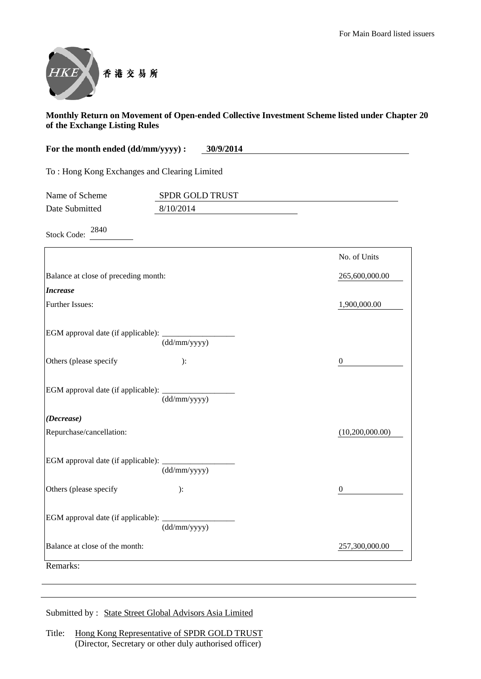

| For the month ended (dd/mm/yyyy) :<br>30/9/2014 |                    |                 |
|-------------------------------------------------|--------------------|-----------------|
| To: Hong Kong Exchanges and Clearing Limited    |                    |                 |
| Name of Scheme                                  | SPDR GOLD TRUST    |                 |
| Date Submitted                                  | 8/10/2014          |                 |
| 2840<br><b>Stock Code:</b>                      |                    |                 |
|                                                 |                    | No. of Units    |
| Balance at close of preceding month:            |                    | 265,600,000.00  |
| <b>Increase</b>                                 |                    |                 |
| <b>Further Issues:</b>                          |                    | 1,900,000.00    |
| Others (please specify                          | (dd/mm/yyyy)<br>): | $\theta$        |
| EGM approval date (if applicable):              | (dd/mm/yyyy)       |                 |
| (Decrease)                                      |                    |                 |
| Repurchase/cancellation:                        |                    | (10,200,000.00) |
|                                                 |                    |                 |

| EGM approval date (if applicable): _____ | (dd/mm/yyyy) |                |
|------------------------------------------|--------------|----------------|
| Others (please specify                   | ):           | $\theta$       |
|                                          | (dd/mm/yyyy) |                |
| Balance at close of the month:           |              | 257,300,000.00 |
| Remarks:                                 |              |                |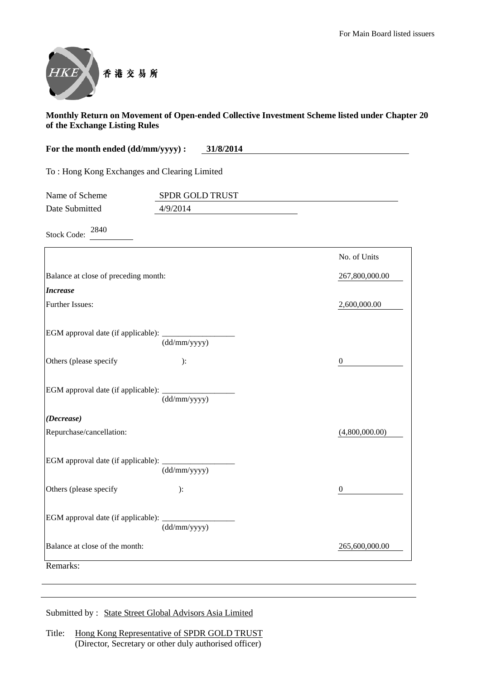

| For the month ended (dd/mm/yyyy) :               | 31/8/2014       |                  |
|--------------------------------------------------|-----------------|------------------|
| To: Hong Kong Exchanges and Clearing Limited     |                 |                  |
| Name of Scheme                                   | SPDR GOLD TRUST |                  |
| Date Submitted                                   | 4/9/2014        |                  |
| 2840<br><b>Stock Code:</b>                       |                 |                  |
|                                                  |                 | No. of Units     |
| Balance at close of preceding month:             |                 | 267,800,000.00   |
| <b>Increase</b>                                  |                 |                  |
| Further Issues:                                  |                 | 2,600,000.00     |
| EGM approval date (if applicable): ___________   | (dd/mm/yyyy)    |                  |
| Others (please specify                           | ):              | $\theta$         |
| EGM approval date (if applicable): _____________ | (dd/mm/yyyy)    |                  |
| (Decrease)                                       |                 |                  |
| Repurchase/cancellation:                         |                 | (4,800,000.00)   |
| EGM approval date (if applicable): _______       | (dd/mm/yyyy)    |                  |
| Others (please specify                           | ):              | $\boldsymbol{0}$ |
| EGM approval date (if applicable): ________      | (dd/mm/yyyy)    |                  |
| Balance at close of the month:                   |                 | 265,600,000.00   |
| Remarks:                                         |                 |                  |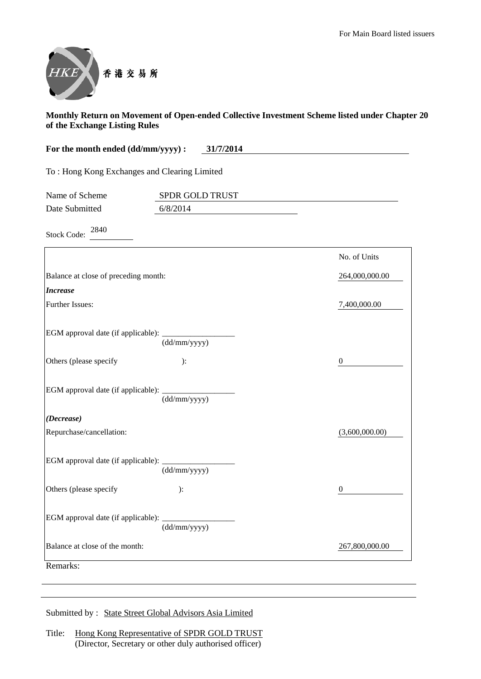

| For the month ended (dd/mm/yyyy) :                | 31/7/2014       |                |
|---------------------------------------------------|-----------------|----------------|
| To: Hong Kong Exchanges and Clearing Limited      |                 |                |
| Name of Scheme                                    | SPDR GOLD TRUST |                |
| Date Submitted                                    | 6/8/2014        |                |
| 2840<br><b>Stock Code:</b>                        |                 |                |
|                                                   |                 | No. of Units   |
| Balance at close of preceding month:              |                 | 264,000,000.00 |
| <b>Increase</b>                                   |                 |                |
| Further Issues:                                   |                 | 7,400,000.00   |
| EGM approval date (if applicable): _____________  | (dd/mm/yyyy)    |                |
| Others (please specify                            | ):              | $\theta$       |
| EGM approval date (if applicable): ______________ | (dd/mm/yyyy)    |                |
| (Decrease)                                        |                 |                |
| Repurchase/cancellation:                          |                 | (3,600,000.00) |
| EGM approval date (if applicable):                | (dd/mm/yyyy)    |                |
| Others (please specify                            | ):              | $\theta$       |
| EGM approval date (if applicable):                | (dd/mm/yyyy)    |                |
| Balance at close of the month:                    |                 | 267,800,000.00 |
| Remarks:                                          |                 |                |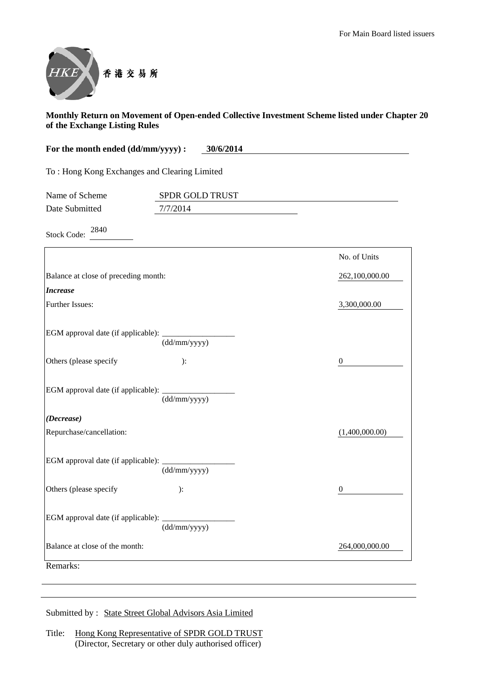

| For the month ended (dd/mm/yyyy) :<br>30/6/2014    |                 |                  |
|----------------------------------------------------|-----------------|------------------|
| To: Hong Kong Exchanges and Clearing Limited       |                 |                  |
| Name of Scheme                                     | SPDR GOLD TRUST |                  |
| Date Submitted                                     | 7/7/2014        |                  |
| 2840<br><b>Stock Code:</b>                         |                 |                  |
|                                                    |                 | No. of Units     |
| Balance at close of preceding month:               |                 | 262,100,000.00   |
| <b>Increase</b>                                    |                 |                  |
| Further Issues:                                    |                 | 3,300,000.00     |
| EGM approval date (if applicable): _______________ | (dd/mm/yyyy)    |                  |
| Others (please specify                             | ):              | $\boldsymbol{0}$ |
|                                                    | (dd/mm/yyyy)    |                  |
| (Decrease)                                         |                 |                  |
| Repurchase/cancellation:                           |                 | (1,400,000.00)   |
| EGM approval date (if applicable): _______         | (dd/mm/yyyy)    |                  |

Others (please specify ): 0

Balance at close of the month: 264,000,000.00

(dd/mm/yyyy)

Submitted by : State Street Global Advisors Asia Limited

EGM approval date (if applicable): \_\_\_\_\_\_\_\_\_\_\_\_\_\_\_\_\_\_

Remarks: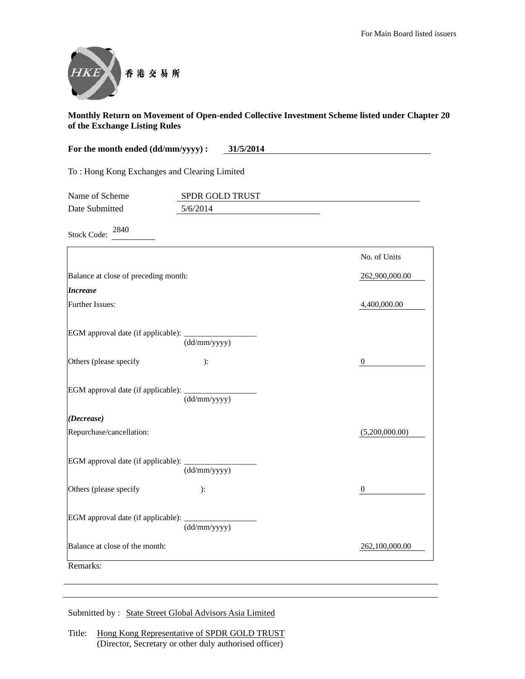

| For the month ended (dd/mm/yyyy) :<br>31/5/2014 |                 |                |
|-------------------------------------------------|-----------------|----------------|
| To: Hong Kong Exchanges and Clearing Limited    |                 |                |
| Name of Scheme                                  | SPDR GOLD TRUST |                |
| Date Submitted                                  | 5/6/2014        |                |
| 2840<br><b>Stock Code:</b>                      |                 |                |
|                                                 |                 | No. of Units   |
| Balance at close of preceding month:            |                 | 262,900,000.00 |
| <b>Increase</b>                                 |                 |                |
| Further Issues:                                 |                 | 4,400,000.00   |
| EGM approval date (if applicable):              | (dd/mm/yyyy)    |                |
| Others (please specify                          | ):              | $\mathbf{0}$   |
| EGM approval date (if applicable):              | (dd/mm/yyyy)    |                |
| (Decrease)                                      |                 |                |
| Repurchase/cancellation:                        |                 | (5,200,000.00) |
| EGM approval date (if applicable):              | (dd/mm/yyyy)    |                |
| Others (please specify                          | $\mathbf{.}$    | 0              |
| EGM approval date (if applicable):              | (dd/mm/yyyy)    |                |
| Balance at close of the month:                  |                 | 262,100,000.00 |
| Remarks:                                        |                 |                |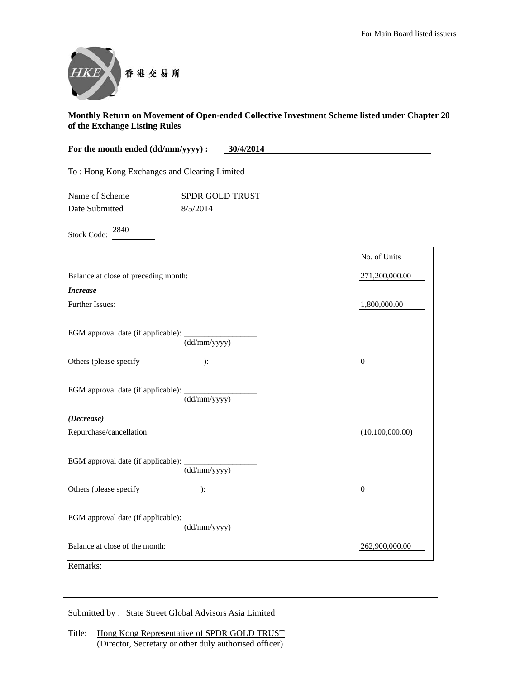

| For the month ended (dd/mm/yyyy) :           | 30/4/2014       |                  |
|----------------------------------------------|-----------------|------------------|
| To: Hong Kong Exchanges and Clearing Limited |                 |                  |
| Name of Scheme                               | SPDR GOLD TRUST |                  |
| Date Submitted                               | 8/5/2014        |                  |
| 2840<br><b>Stock Code:</b>                   |                 |                  |
|                                              |                 | No. of Units     |
| Balance at close of preceding month:         |                 | 271,200,000.00   |
| <b>Increase</b>                              |                 |                  |
| Further Issues:                              |                 | 1,800,000.00     |
| EGM approval date (if applicable):           | (dd/mm/yyyy)    |                  |
| Others (please specify                       | ):              | $\boldsymbol{0}$ |
| EGM approval date (if applicable):           | (dd/mm/yyyy)    |                  |
| (Decrease)                                   |                 |                  |
| Repurchase/cancellation:                     |                 | (10,100,000.00)  |
| EGM approval date (if applicable):           | (dd/mm/yyyy)    |                  |
| Others (please specify                       | ):              | $\boldsymbol{0}$ |
| EGM approval date (if applicable):           | (dd/mm/yyyy)    |                  |
| Balance at close of the month:               |                 | 262,900,000.00   |
| Remarks:                                     |                 |                  |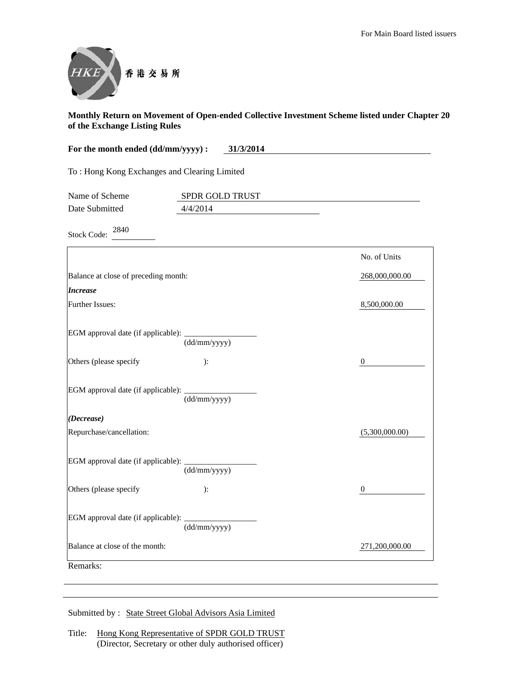

| For the month ended (dd/mm/yyyy) :           | 31/3/2014       |                |
|----------------------------------------------|-----------------|----------------|
| To: Hong Kong Exchanges and Clearing Limited |                 |                |
| Name of Scheme                               | SPDR GOLD TRUST |                |
| Date Submitted                               | 4/4/2014        |                |
| 2840<br><b>Stock Code:</b>                   |                 |                |
|                                              |                 | No. of Units   |
| Balance at close of preceding month:         |                 | 268,000,000.00 |
| <b>Increase</b>                              |                 |                |
| <b>Further Issues:</b>                       |                 | 8,500,000.00   |
| EGM approval date (if applicable):           | (dd/mm/yyyy)    |                |
| Others (please specify                       | ):              | 0              |
| EGM approval date (if applicable):           | (dd/mm/yyyy)    |                |
| (Decrease)                                   |                 |                |
| Repurchase/cancellation:                     |                 | (5,300,000.00) |
| EGM approval date (if applicable):           | (dd/mm/yyyy)    |                |
| Others (please specify                       | ):              | 0              |
| EGM approval date (if applicable):           | (dd/mm/yyyy)    |                |
| Balance at close of the month:               |                 | 271,200,000.00 |
| Remarks:                                     |                 |                |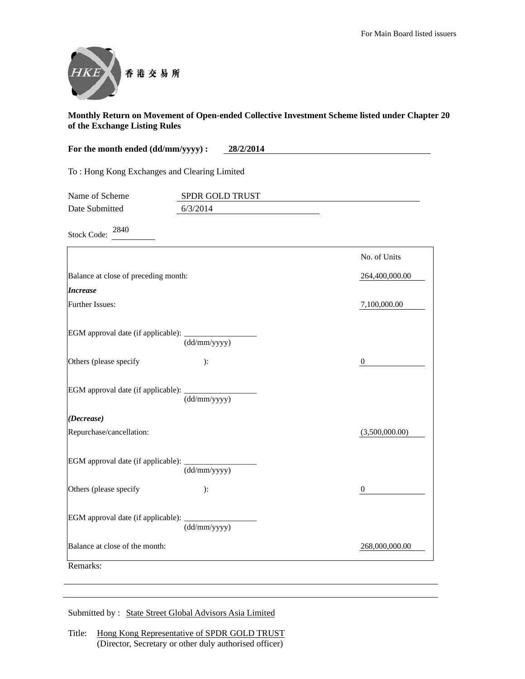

| For the month ended (dd/mm/yyyy) :<br>28/2/2014 |                 |                |  |  |
|-------------------------------------------------|-----------------|----------------|--|--|
| To: Hong Kong Exchanges and Clearing Limited    |                 |                |  |  |
| Name of Scheme                                  | SPDR GOLD TRUST |                |  |  |
| Date Submitted                                  | 6/3/2014        |                |  |  |
| 2840<br><b>Stock Code:</b>                      |                 |                |  |  |
|                                                 |                 | No. of Units   |  |  |
| Balance at close of preceding month:            |                 | 264,400,000.00 |  |  |
| <b>Increase</b>                                 |                 |                |  |  |
| Further Issues:                                 |                 | 7,100,000.00   |  |  |
| EGM approval date (if applicable):              | (dd/mm/yyyy)    |                |  |  |
| Others (please specify                          | ):              | $\theta$       |  |  |
| EGM approval date (if applicable):              | (dd/mm/yyyy)    |                |  |  |
| (Decrease)                                      |                 |                |  |  |
| Repurchase/cancellation:                        |                 | (3,500,000.00) |  |  |
| EGM approval date (if applicable):              | (dd/mm/yyyy)    |                |  |  |
| Others (please specify                          | ):              | 0              |  |  |
| EGM approval date (if applicable):              | (dd/mm/yyyy)    |                |  |  |
| Balance at close of the month:                  |                 | 268,000,000.00 |  |  |
| Remarks:                                        |                 |                |  |  |